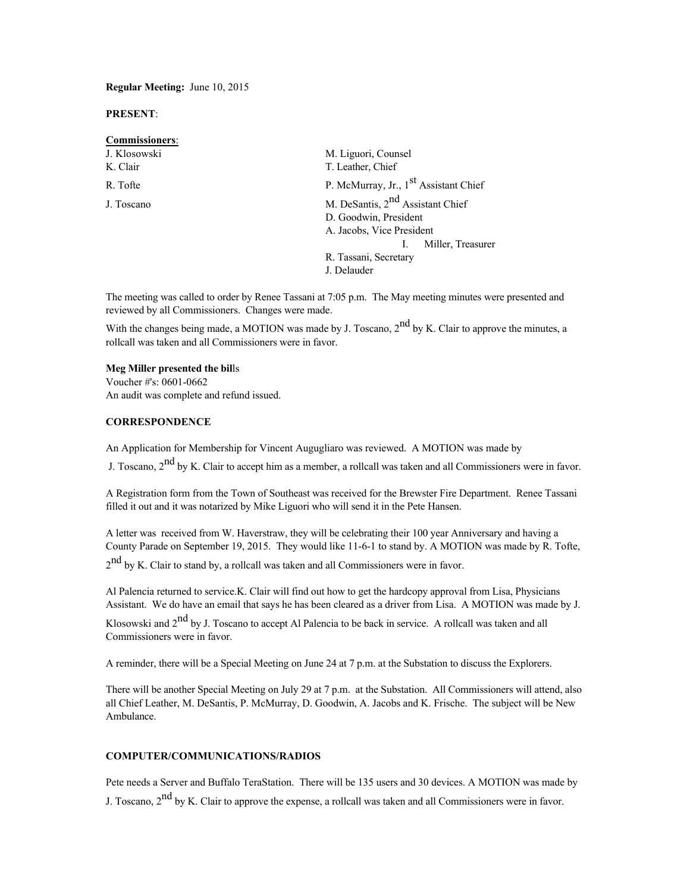**Regular Meeting:** June 10, 2015

**PRESENT**:

| <b>Commissioners:</b> |                                                   |  |
|-----------------------|---------------------------------------------------|--|
| J. Klosowski          | M. Liguori, Counsel                               |  |
| K. Clair              | T. Leather, Chief                                 |  |
| R. Tofte              | P. McMurray, Jr., 1 <sup>st</sup> Assistant Chief |  |
| J. Toscano            | M. DeSantis, 2 <sup>nd</sup> Assistant Chief      |  |
|                       | D. Goodwin, President                             |  |
|                       | A. Jacobs, Vice President                         |  |
|                       | Miller, Treasurer                                 |  |
|                       | R. Tassani, Secretary                             |  |
|                       | J. Delauder                                       |  |

The meeting was called to order by Renee Tassani at 7:05 p.m. The May meeting minutes were presented and reviewed by all Commissioners. Changes were made.

With the changes being made, a MOTION was made by J. Toscano, 2<sup>nd</sup> by K. Clair to approve the minutes, a rollcall was taken and all Commissioners were in favor.

#### **Meg Miller presented the bil**ls

Voucher #'s: 0601-0662 An audit was complete and refund issued.

# **CORRESPONDENCE**

An Application for Membership for Vincent Augugliaro was reviewed. A MOTION was made by

J. Toscano, 2<sup>nd</sup> by K. Clair to accept him as a member, a rollcall was taken and all Commissioners were in favor.

A Registration form from the Town of Southeast was received for the Brewster Fire Department. Renee Tassani filled it out and it was notarized by Mike Liguori who will send it in the Pete Hansen.

A letter was received from W. Haverstraw, they will be celebrating their 100 year Anniversary and having a County Parade on September 19, 2015. They would like 11-6-1 to stand by. A MOTION was made by R. Tofte, 2<sup>nd</sup> by K. Clair to stand by, a rollcall was taken and all Commissioners were in favor.

Al Palencia returned to service.K. Clair will find out how to get the hardcopy approval from Lisa, Physicians Assistant. We do have an email that says he has been cleared as a driver from Lisa. A MOTION was made by J.

Klosowski and 2<sup>nd</sup> by J. Toscano to accept Al Palencia to be back in service. A rollcall was taken and all Commissioners were in favor.

A reminder, there will be a Special Meeting on June 24 at 7 p.m. at the Substation to discuss the Explorers.

There will be another Special Meeting on July 29 at 7 p.m. at the Substation. All Commissioners will attend, also all Chief Leather, M. DeSantis, P. McMurray, D. Goodwin, A. Jacobs and K. Frische. The subject will be New Ambulance.

## **COMPUTER/COMMUNICATIONS/RADIOS**

Pete needs a Server and Buffalo TeraStation. There will be 135 users and 30 devices. A MOTION was made by J. Toscano,  $2<sup>nd</sup>$  by K. Clair to approve the expense, a rollcall was taken and all Commissioners were in favor.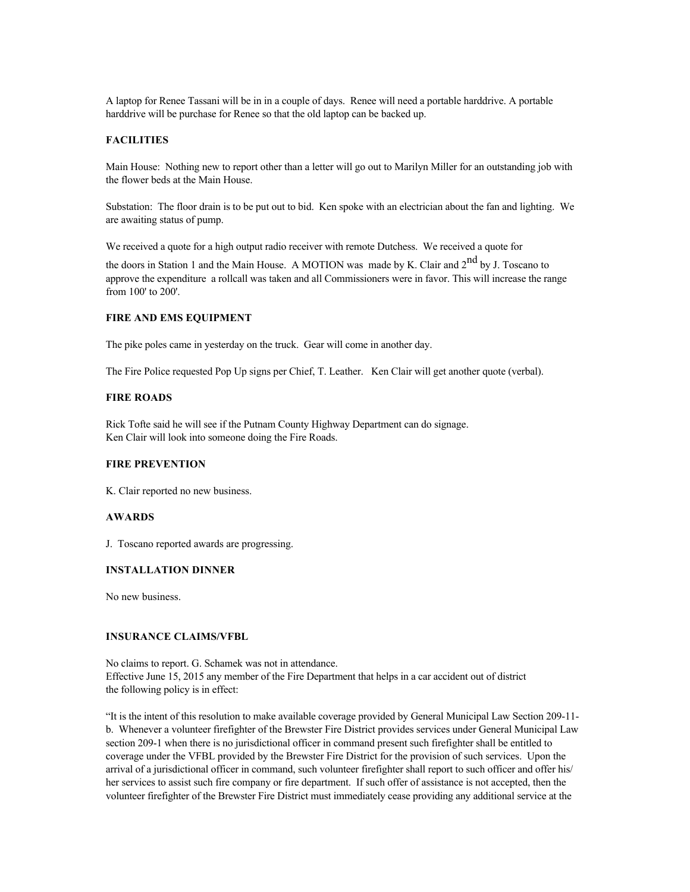A laptop for Renee Tassani will be in in a couple of days. Renee will need a portable harddrive. A portable harddrive will be purchase for Renee so that the old laptop can be backed up.

# **FACILITIES**

Main House: Nothing new to report other than a letter will go out to Marilyn Miller for an outstanding job with the flower beds at the Main House.

Substation: The floor drain is to be put out to bid. Ken spoke with an electrician about the fan and lighting. We are awaiting status of pump.

We received a quote for a high output radio receiver with remote Dutchess. We received a quote for

the doors in Station 1 and the Main House. A MOTION was made by K. Clair and  $2<sup>nd</sup>$  by J. Toscano to approve the expenditure a rollcall was taken and all Commissioners were in favor. This will increase the range from 100' to 200'.

#### **FIRE AND EMS EQUIPMENT**

The pike poles came in yesterday on the truck. Gear will come in another day.

The Fire Police requested Pop Up signs per Chief, T. Leather. Ken Clair will get another quote (verbal).

#### **FIRE ROADS**

Rick Tofte said he will see if the Putnam County Highway Department can do signage. Ken Clair will look into someone doing the Fire Roads.

### **FIRE PREVENTION**

K. Clair reported no new business.

#### **AWARDS**

J. Toscano reported awards are progressing.

## **INSTALLATION DINNER**

No new business.

#### **INSURANCE CLAIMS/VFBL**

No claims to report. G. Schamek was not in attendance. Effective June 15, 2015 any member of the Fire Department that helps in a car accident out of district the following policy is in effect:

"It is the intent of this resolution to make available coverage provided by General Municipal Law Section 209-11 b. Whenever a volunteer firefighter of the Brewster Fire District provides services under General Municipal Law section 209-1 when there is no jurisdictional officer in command present such firefighter shall be entitled to coverage under the VFBL provided by the Brewster Fire District for the provision of such services. Upon the arrival of a jurisdictional officer in command, such volunteer firefighter shall report to such officer and offer his/ her services to assist such fire company or fire department. If such offer of assistance is not accepted, then the volunteer firefighter of the Brewster Fire District must immediately cease providing any additional service at the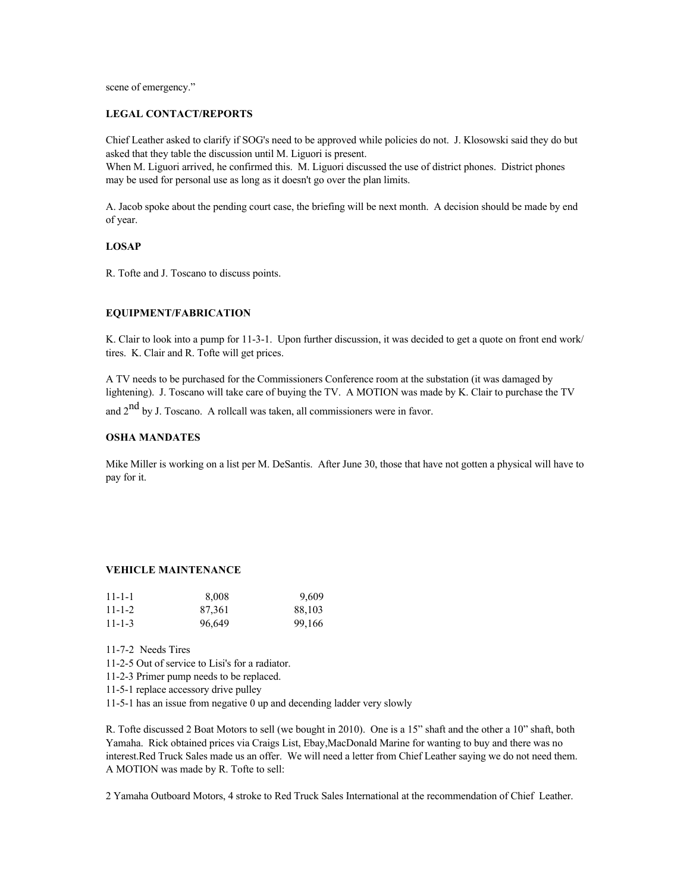scene of emergency."

## **LEGAL CONTACT/REPORTS**

Chief Leather asked to clarify if SOG's need to be approved while policies do not. J. Klosowski said they do but asked that they table the discussion until M. Liguori is present.

When M. Liguori arrived, he confirmed this. M. Liguori discussed the use of district phones. District phones may be used for personal use as long as it doesn't go over the plan limits.

A. Jacob spoke about the pending court case, the briefing will be next month. A decision should be made by end of year.

## **LOSAP**

R. Tofte and J. Toscano to discuss points.

## **EQUIPMENT/FABRICATION**

K. Clair to look into a pump for 11-3-1. Upon further discussion, it was decided to get a quote on front end work/ tires. K. Clair and R. Tofte will get prices.

A TV needs to be purchased for the Commissioners Conference room at the substation (it was damaged by lightening). J. Toscano will take care of buying the TV. A MOTION was made by K. Clair to purchase the TV

and  $2<sup>nd</sup>$  by J. Toscano. A rollcall was taken, all commissioners were in favor.

## **OSHA MANDATES**

Mike Miller is working on a list per M. DeSantis. After June 30, those that have not gotten a physical will have to pay for it.

## **VEHICLE MAINTENANCE**

| $11 - 1 - 1$ | 8,008  | 9,609  |
|--------------|--------|--------|
| $11 - 1 - 2$ | 87,361 | 88,103 |
| $11 - 1 - 3$ | 96,649 | 99,166 |

11-7-2 Needs Tires 11-2-5 Out of service to Lisi's for a radiator. 11-2-3 Primer pump needs to be replaced. 11-5-1 replace accessory drive pulley

11-5-1 has an issue from negative 0 up and decending ladder very slowly

R. Tofte discussed 2 Boat Motors to sell (we bought in 2010). One is a 15" shaft and the other a 10" shaft, both Yamaha. Rick obtained prices via Craigs List, Ebay,MacDonald Marine for wanting to buy and there was no interest.Red Truck Sales made us an offer. We will need a letter from Chief Leather saying we do not need them. A MOTION was made by R. Tofte to sell:

2 Yamaha Outboard Motors, 4 stroke to Red Truck Sales International at the recommendation of Chief Leather.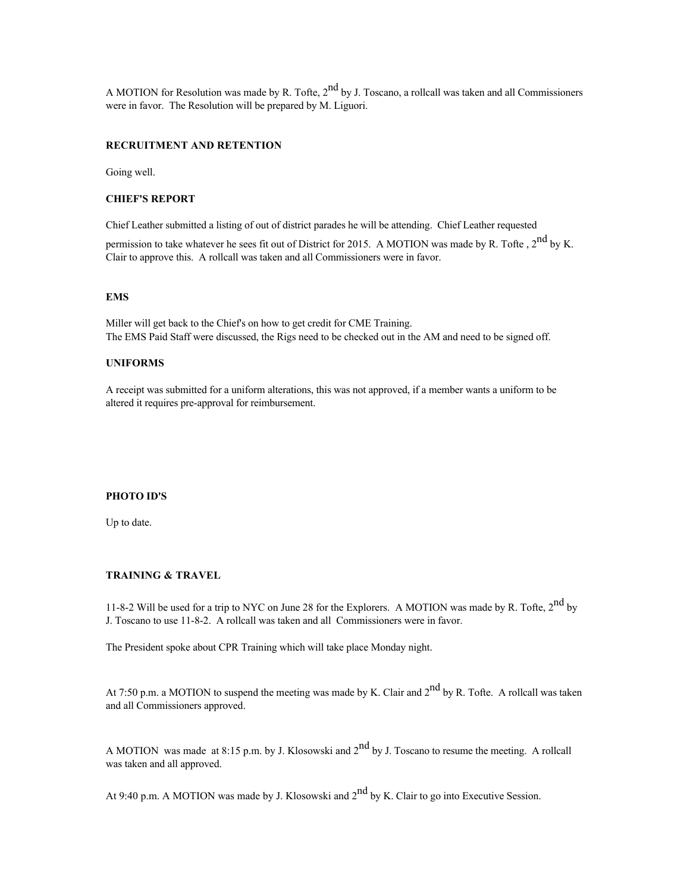A MOTION for Resolution was made by R. Tofte,  $2^{nd}$  by J. Toscano, a rollcall was taken and all Commissioners were in favor. The Resolution will be prepared by M. Liguori.

#### **RECRUITMENT AND RETENTION**

Going well.

# **CHIEF'S REPORT**

Chief Leather submitted a listing of out of district parades he will be attending. Chief Leather requested

permission to take whatever he sees fit out of District for 2015. A MOTION was made by R. Tofte ,  $2^{nd}$  by K. Clair to approve this. A rollcall was taken and all Commissioners were in favor.

### **EMS**

Miller will get back to the Chief's on how to get credit for CME Training. The EMS Paid Staff were discussed, the Rigs need to be checked out in the AM and need to be signed off.

#### **UNIFORMS**

A receipt was submitted for a uniform alterations, this was not approved, if a member wants a uniform to be altered it requires pre-approval for reimbursement.

# **PHOTO ID'S**

Up to date.

# **TRAINING & TRAVEL**

11-8-2 Will be used for a trip to NYC on June 28 for the Explorers. A MOTION was made by R. Tofte,  $2^{nd}$  by J. Toscano to use 11-8-2. A rollcall was taken and all Commissioners were in favor.

The President spoke about CPR Training which will take place Monday night.

At 7:50 p.m. a MOTION to suspend the meeting was made by K. Clair and  $2^{nd}$  by R. Tofte. A rollcall was taken and all Commissioners approved.

A MOTION was made at 8:15 p.m. by J. Klosowski and  $2<sup>nd</sup>$  by J. Toscano to resume the meeting. A rollcall was taken and all approved.

At 9:40 p.m. A MOTION was made by J. Klosowski and  $2^{nd}$  by K. Clair to go into Executive Session.